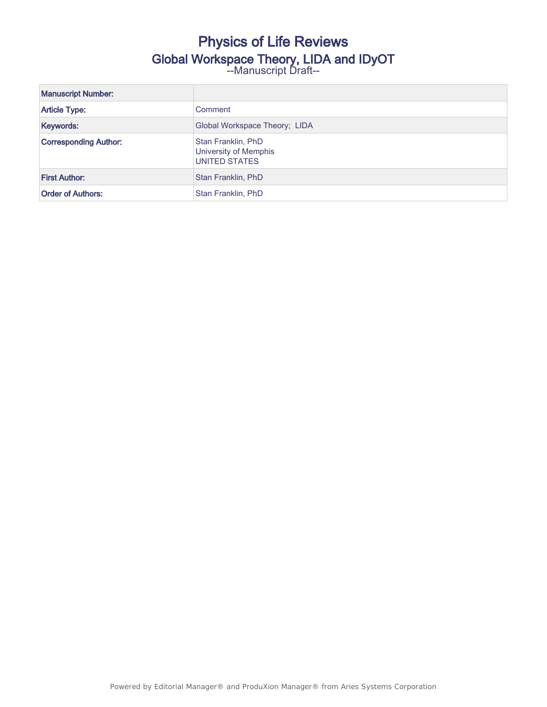## Physics of Life Reviews Global Workspace Theory, LIDA and IDyOT --Manuscript Draft--

| <b>Manuscript Number:</b>    |                                                              |
|------------------------------|--------------------------------------------------------------|
| <b>Article Type:</b>         | Comment                                                      |
| Keywords:                    | Global Workspace Theory; LIDA                                |
| <b>Corresponding Author:</b> | Stan Franklin, PhD<br>University of Memphis<br>UNITED STATES |
| <b>First Author:</b>         | Stan Franklin, PhD                                           |
| <b>Order of Authors:</b>     | Stan Franklin, PhD                                           |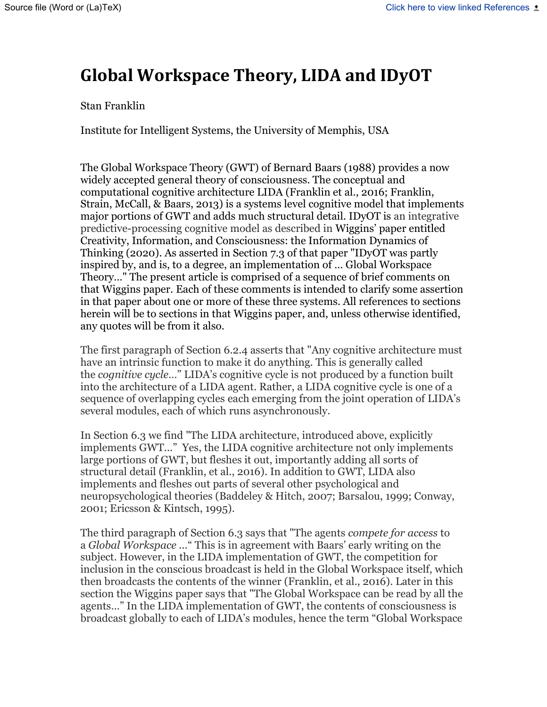# **Global Workspace Theory, LIDA and IDyOT**

#### Stan Franklin

Institute for Intelligent Systems, the University of Memphis, USA

The Global Workspace Theory (GWT) of Bernard Baars (1988) provides a now widely accepted general theory of consciousness. The conceptual and computational cognitive architecture LIDA (Franklin et al., 2016; Franklin, Strain, McCall, & Baars, 2013) is a systems level cognitive model that implements major portions of GWT and adds much structural detail. IDyOT is an integrative predictive-processing cognitive model as described in Wiggins' paper entitled Creativity, Information, and Consciousness: the Information Dynamics of Thinking (2020). As asserted in Section 7.3 of that paper "IDyOT was partly inspired by, and is, to a degree, an implementation of … Global Workspace Theory…" The present article is comprised of a sequence of brief comments on that Wiggins paper. Each of these comments is intended to clarify some assertion in that paper about one or more of these three systems. All references to sections herein will be to sections in that Wiggins paper, and, unless otherwise identified, any quotes will be from it also.

The first paragraph of Section 6.2.4 asserts that "Any cognitive architecture must have an intrinsic function to make it do anything. This is generally called the *cognitive cycle*…" LIDA's cognitive cycle is not produced by a function built into the architecture of a LIDA agent. Rather, a LIDA cognitive cycle is one of a sequence of overlapping cycles each emerging from the joint operation of LIDA's several modules, each of which runs asynchronously.

In Section 6.3 we find "The LIDA architecture, introduced above, explicitly implements GWT..." Yes, the LIDA cognitive architecture not only implements large portions of GWT, but fleshes it out, importantly adding all sorts of structural detail (Franklin, et al., 2016). In addition to GWT, LIDA also implements and fleshes out parts of several other psychological and neuropsychological theories (Baddeley & Hitch, 2007; Barsalou, 1999; Conway, 2001; Ericsson & Kintsch, 1995).

The third paragraph of Section 6.3 says that "The agents *compete for access* to a *Global Workspace ...*" This is in agreement with Baars' early writing on the subject. However, in the LIDA implementation of GWT, the competition for inclusion in the conscious broadcast is held in the Global Workspace itself, which then broadcasts the contents of the winner (Franklin, et al., 2016). Later in this section the Wiggins paper says that "The Global Workspace can be read by all the agents…" In the LIDA implementation of GWT, the contents of consciousness is broadcast globally to each of LIDA's modules, hence the term "Global Workspace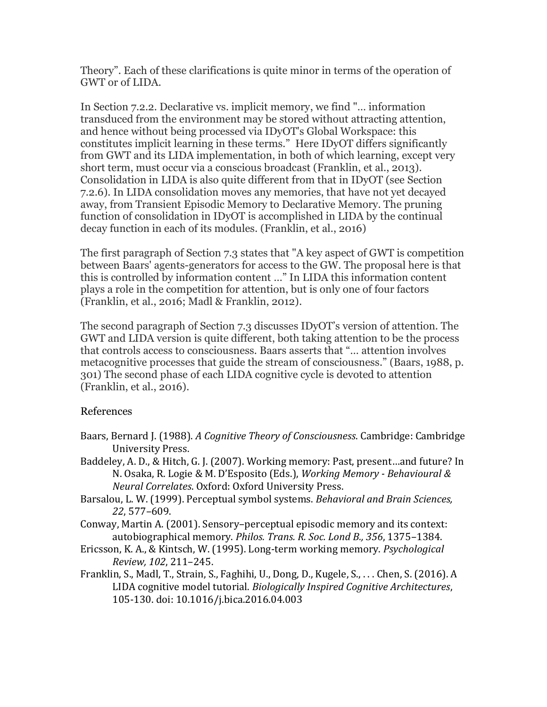Theory". Each of these clarifications is quite minor in terms of the operation of GWT or of LIDA.

In Section 7.2.2. Declarative vs. implicit memory, we find "… information transduced from the environment may be stored without attracting attention, and hence without being processed via IDyOT's Global Workspace: this constitutes implicit learning in these terms." Here IDyOT differs significantly from GWT and its LIDA implementation, in both of which learning, except very short term, must occur via a conscious broadcast (Franklin, et al., 2013). Consolidation in LIDA is also quite different from that in IDyOT (see Section 7.2.6). In LIDA consolidation moves any memories, that have not yet decayed away, from Transient Episodic Memory to Declarative Memory. The pruning function of consolidation in IDyOT is accomplished in LIDA by the continual decay function in each of its modules. (Franklin, et al., 2016)

The first paragraph of Section 7.3 states that "A key aspect of GWT is competition between Baars' agents-generators for access to the GW. The proposal here is that this is controlled by information content …" In LIDA this information content plays a role in the competition for attention, but is only one of four factors (Franklin, et al., 2016; Madl & Franklin, 2012).

The second paragraph of Section 7.3 discusses IDyOT's version of attention. The GWT and LIDA version is quite different, both taking attention to be the process that controls access to consciousness. Baars asserts that "… attention involves metacognitive processes that guide the stream of consciousness." (Baars, 1988, p. 301) The second phase of each LIDA cognitive cycle is devoted to attention (Franklin, et al., 2016).

### References

- Baars, Bernard J. (1988). *A Cognitive Theory of Consciousness*. Cambridge: Cambridge University Press.
- Baddeley, A. D., & Hitch, G. J. (2007). Working memory: Past, present…and future? In N. Osaka, R. Logie & M. D'Esposito (Eds.), *Working Memory - Behavioural & Neural Correlates*. Oxford: Oxford University Press.
- Barsalou, L. W. (1999). Perceptual symbol systems. *Behavioral and Brain Sciences, 22*, 577–609.
- Conway, Martin A. (2001). Sensory–perceptual episodic memory and its context: autobiographical memory. *Philos. Trans. R. Soc. Lond B., 356*, 1375–1384.
- Ericsson, K. A., & Kintsch, W. (1995). Long-term working memory. *Psychological Review, 102*, 211–245.
- Franklin, S., Madl, T., Strain, S., Faghihi, U., Dong, D., Kugele, S., . . . Chen, S. (2016). A LIDA cognitive model tutorial. *Biologically Inspired Cognitive Architectures*, 105-130. doi: 10.1016/j.bica.2016.04.003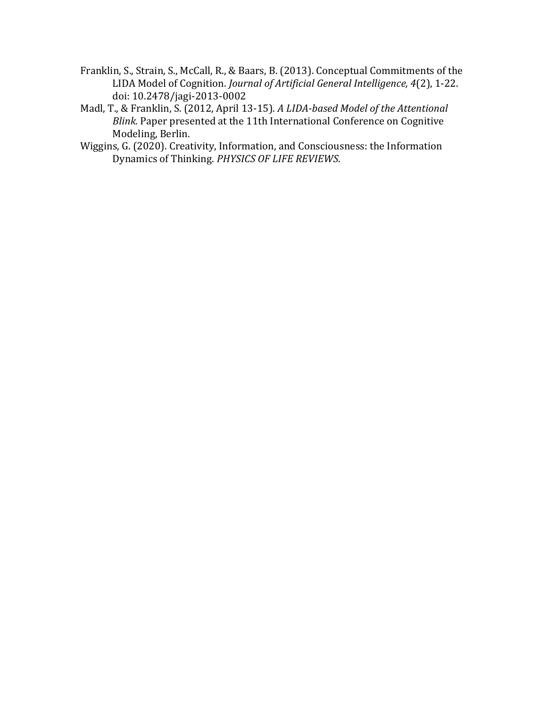- Franklin, S., Strain, S., McCall, R., & Baars, B. (2013). Conceptual Commitments of the LIDA Model of Cognition. *Journal of Artificial General Intelligence, 4*(2), 1-22. doi: 10.2478/jagi-2013-0002
- Madl, T., & Franklin, S. (2012, April 13-15). *A LIDA-based Model of the Attentional Blink.* Paper presented at the 11th International Conference on Cognitive Modeling, Berlin.
- Wiggins, G. (2020). Creativity, Information, and Consciousness: the Information Dynamics of Thinking. *PHYSICS OF LIFE REVIEWS*.